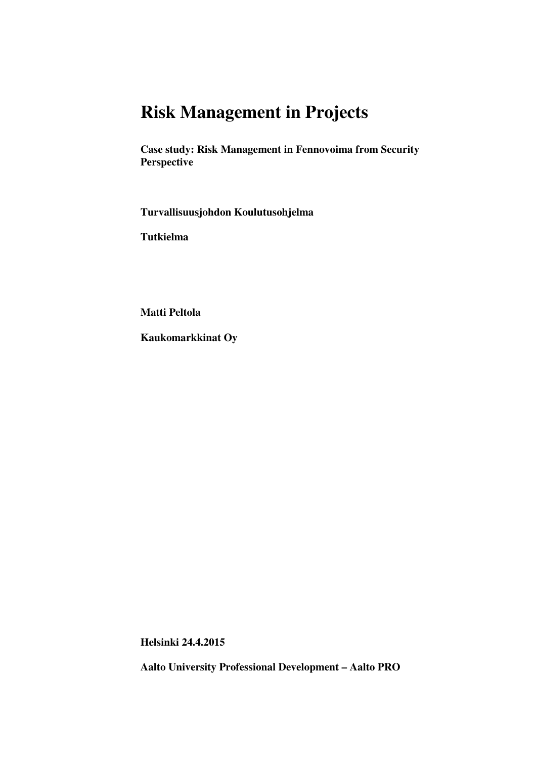# **Risk Management in Projects**

**Case study: Risk Management in Fennovoima from Security Perspective** 

**Turvallisuusjohdon Koulutusohjelma** 

**Tutkielma** 

**Matti Peltola** 

**Kaukomarkkinat Oy** 

**Helsinki 24.4.2015** 

**Aalto University Professional Development – Aalto PRO**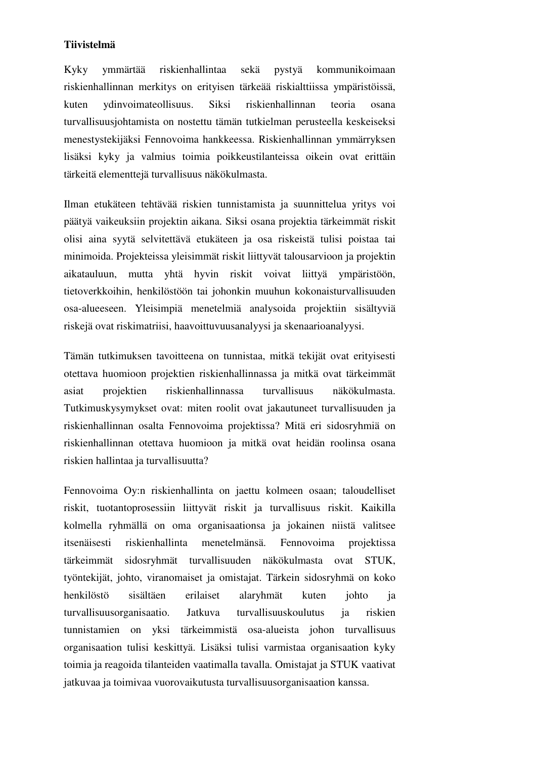#### **Tiivistelmä**

Kyky ymmärtää riskienhallintaa sekä pystyä kommunikoimaan riskienhallinnan merkitys on erityisen tärkeää riskialttiissa ympäristöissä, kuten ydinvoimateollisuus. Siksi riskienhallinnan teoria osana turvallisuusjohtamista on nostettu tämän tutkielman perusteella keskeiseksi menestystekijäksi Fennovoima hankkeessa. Riskienhallinnan ymmärryksen lisäksi kyky ja valmius toimia poikkeustilanteissa oikein ovat erittäin tärkeitä elementtejä turvallisuus näkökulmasta.

Ilman etukäteen tehtävää riskien tunnistamista ja suunnittelua yritys voi päätyä vaikeuksiin projektin aikana. Siksi osana projektia tärkeimmät riskit olisi aina syytä selvitettävä etukäteen ja osa riskeistä tulisi poistaa tai minimoida. Projekteissa yleisimmät riskit liittyvät talousarvioon ja projektin aikatauluun, mutta yhtä hyvin riskit voivat liittyä ympäristöön, tietoverkkoihin, henkilöstöön tai johonkin muuhun kokonaisturvallisuuden osa-alueeseen. Yleisimpiä menetelmiä analysoida projektiin sisältyviä riskejä ovat riskimatriisi, haavoittuvuusanalyysi ja skenaarioanalyysi.

Tämän tutkimuksen tavoitteena on tunnistaa, mitkä tekijät ovat erityisesti otettava huomioon projektien riskienhallinnassa ja mitkä ovat tärkeimmät asiat projektien riskienhallinnassa turvallisuus näkökulmasta. Tutkimuskysymykset ovat: miten roolit ovat jakautuneet turvallisuuden ja riskienhallinnan osalta Fennovoima projektissa? Mitä eri sidosryhmiä on riskienhallinnan otettava huomioon ja mitkä ovat heidän roolinsa osana riskien hallintaa ja turvallisuutta?

Fennovoima Oy:n riskienhallinta on jaettu kolmeen osaan; taloudelliset riskit, tuotantoprosessiin liittyvät riskit ja turvallisuus riskit. Kaikilla kolmella ryhmällä on oma organisaationsa ja jokainen niistä valitsee itsenäisesti riskienhallinta menetelmänsä. Fennovoima projektissa tärkeimmät sidosryhmät turvallisuuden näkökulmasta ovat STUK, työntekijät, johto, viranomaiset ja omistajat. Tärkein sidosryhmä on koko henkilöstö sisältäen erilaiset alaryhmät kuten johto ja turvallisuusorganisaatio. Jatkuva turvallisuuskoulutus ja riskien tunnistamien on yksi tärkeimmistä osa-alueista johon turvallisuus organisaation tulisi keskittyä. Lisäksi tulisi varmistaa organisaation kyky toimia ja reagoida tilanteiden vaatimalla tavalla. Omistajat ja STUK vaativat jatkuvaa ja toimivaa vuorovaikutusta turvallisuusorganisaation kanssa.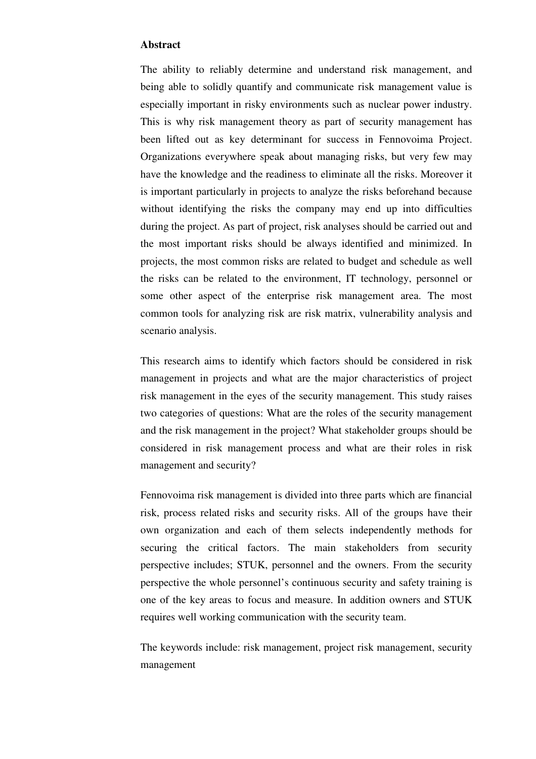#### **Abstract**

The ability to reliably determine and understand risk management, and being able to solidly quantify and communicate risk management value is especially important in risky environments such as nuclear power industry. This is why risk management theory as part of security management has been lifted out as key determinant for success in Fennovoima Project. Organizations everywhere speak about managing risks, but very few may have the knowledge and the readiness to eliminate all the risks. Moreover it is important particularly in projects to analyze the risks beforehand because without identifying the risks the company may end up into difficulties during the project. As part of project, risk analyses should be carried out and the most important risks should be always identified and minimized. In projects, the most common risks are related to budget and schedule as well the risks can be related to the environment, IT technology, personnel or some other aspect of the enterprise risk management area. The most common tools for analyzing risk are risk matrix, vulnerability analysis and scenario analysis.

This research aims to identify which factors should be considered in risk management in projects and what are the major characteristics of project risk management in the eyes of the security management. This study raises two categories of questions: What are the roles of the security management and the risk management in the project? What stakeholder groups should be considered in risk management process and what are their roles in risk management and security?

Fennovoima risk management is divided into three parts which are financial risk, process related risks and security risks. All of the groups have their own organization and each of them selects independently methods for securing the critical factors. The main stakeholders from security perspective includes; STUK, personnel and the owners. From the security perspective the whole personnel's continuous security and safety training is one of the key areas to focus and measure. In addition owners and STUK requires well working communication with the security team.

The keywords include: risk management, project risk management, security management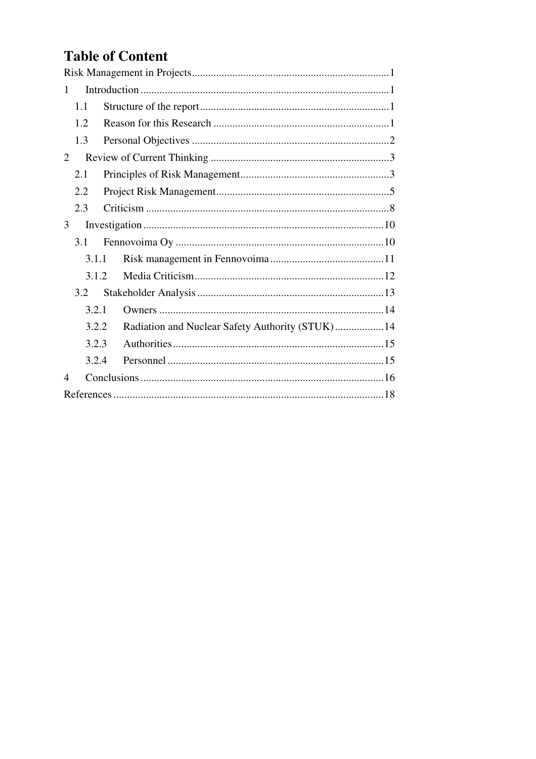# **Table of Content**

| 1                        |       |                                                  |  |  |  |  |  |  |  |
|--------------------------|-------|--------------------------------------------------|--|--|--|--|--|--|--|
|                          | 1.1   |                                                  |  |  |  |  |  |  |  |
|                          | 1.2   |                                                  |  |  |  |  |  |  |  |
|                          | 1.3   |                                                  |  |  |  |  |  |  |  |
| 2                        |       |                                                  |  |  |  |  |  |  |  |
|                          | 2.1   |                                                  |  |  |  |  |  |  |  |
|                          | 2.2   |                                                  |  |  |  |  |  |  |  |
|                          | 2.3   |                                                  |  |  |  |  |  |  |  |
| 3                        |       |                                                  |  |  |  |  |  |  |  |
|                          | 3.1   |                                                  |  |  |  |  |  |  |  |
| 3.1.1                    |       |                                                  |  |  |  |  |  |  |  |
| 3.1.2                    |       |                                                  |  |  |  |  |  |  |  |
|                          | 3.2   |                                                  |  |  |  |  |  |  |  |
|                          | 3.2.1 |                                                  |  |  |  |  |  |  |  |
|                          | 3.2.2 | Radiation and Nuclear Safety Authority (STUK) 14 |  |  |  |  |  |  |  |
|                          | 3.2.3 |                                                  |  |  |  |  |  |  |  |
|                          | 3.2.4 |                                                  |  |  |  |  |  |  |  |
| $\overline{\mathcal{A}}$ |       |                                                  |  |  |  |  |  |  |  |
|                          |       |                                                  |  |  |  |  |  |  |  |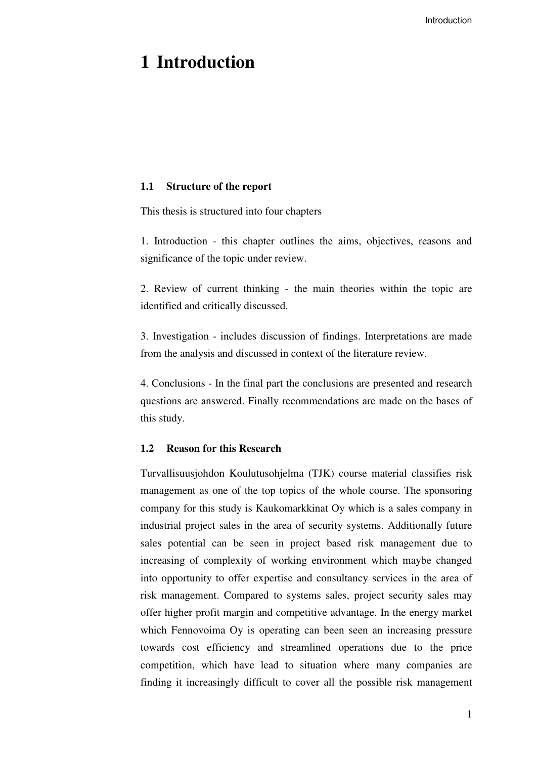## **1 Introduction**

#### **1.1 Structure of the report**

This thesis is structured into four chapters

1. Introduction - this chapter outlines the aims, objectives, reasons and significance of the topic under review.

2. Review of current thinking - the main theories within the topic are identified and critically discussed.

3. Investigation - includes discussion of findings. Interpretations are made from the analysis and discussed in context of the literature review.

4. Conclusions - In the final part the conclusions are presented and research questions are answered. Finally recommendations are made on the bases of this study.

## **1.2 Reason for this Research**

Turvallisuusjohdon Koulutusohjelma (TJK) course material classifies risk management as one of the top topics of the whole course. The sponsoring company for this study is Kaukomarkkinat Oy which is a sales company in industrial project sales in the area of security systems. Additionally future sales potential can be seen in project based risk management due to increasing of complexity of working environment which maybe changed into opportunity to offer expertise and consultancy services in the area of risk management. Compared to systems sales, project security sales may offer higher profit margin and competitive advantage. In the energy market which Fennovoima Oy is operating can been seen an increasing pressure towards cost efficiency and streamlined operations due to the price competition, which have lead to situation where many companies are finding it increasingly difficult to cover all the possible risk management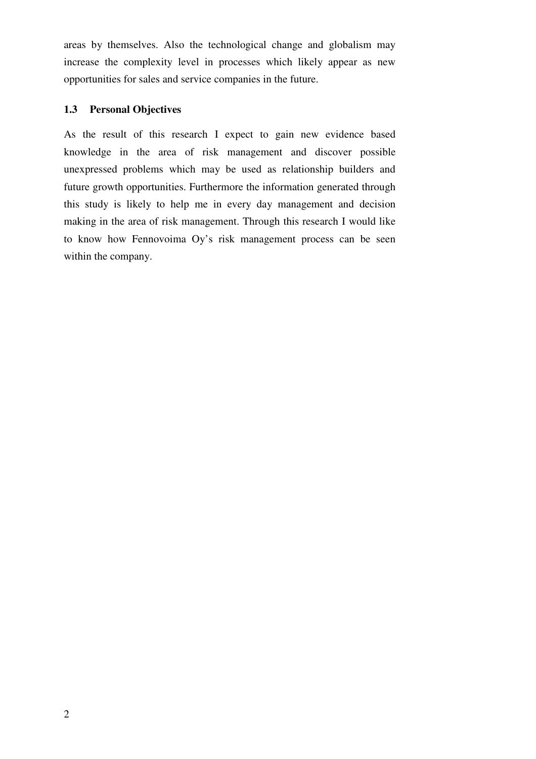areas by themselves. Also the technological change and globalism may increase the complexity level in processes which likely appear as new opportunities for sales and service companies in the future.

#### **1.3 Personal Objectives**

As the result of this research I expect to gain new evidence based knowledge in the area of risk management and discover possible unexpressed problems which may be used as relationship builders and future growth opportunities. Furthermore the information generated through this study is likely to help me in every day management and decision making in the area of risk management. Through this research I would like to know how Fennovoima Oy's risk management process can be seen within the company.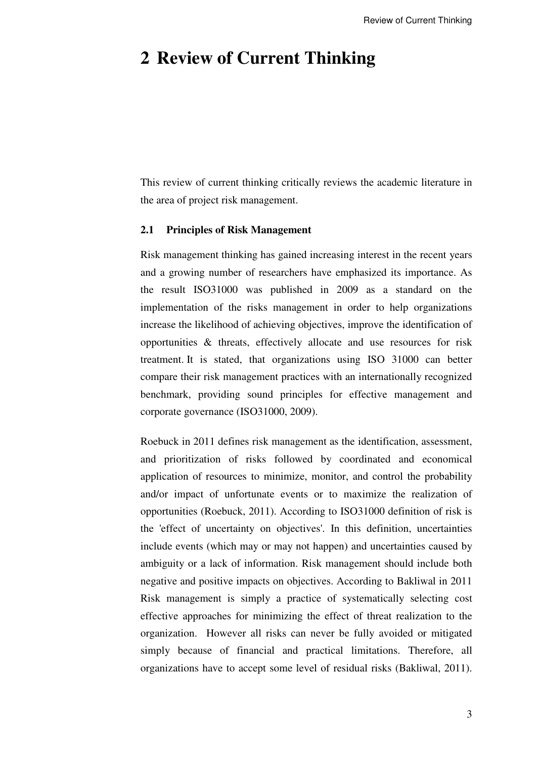## **2 Review of Current Thinking**

This review of current thinking critically reviews the academic literature in the area of project risk management.

### **2.1 Principles of Risk Management**

Risk management thinking has gained increasing interest in the recent years and a growing number of researchers have emphasized its importance. As the result ISO31000 was published in 2009 as a standard on the implementation of the risks management in order to help organizations increase the likelihood of achieving objectives, improve the identification of opportunities & threats, effectively allocate and use resources for risk treatment. It is stated, that organizations using ISO 31000 can better compare their risk management practices with an internationally recognized benchmark, providing sound principles for effective management and corporate governance (ISO31000, 2009).

Roebuck in 2011 defines risk management as the identification, assessment, and prioritization of risks followed by coordinated and economical application of resources to minimize, monitor, and control the probability and/or impact of unfortunate events or to maximize the realization of opportunities (Roebuck, 2011). According to ISO31000 definition of risk is the 'effect of uncertainty on objectives'. In this definition, uncertainties include events (which may or may not happen) and uncertainties caused by ambiguity or a lack of information. Risk management should include both negative and positive impacts on objectives. According to Bakliwal in 2011 Risk management is simply a practice of systematically selecting cost effective approaches for minimizing the effect of threat realization to the organization. However all risks can never be fully avoided or mitigated simply because of financial and practical limitations. Therefore, all organizations have to accept some level of residual risks (Bakliwal, 2011).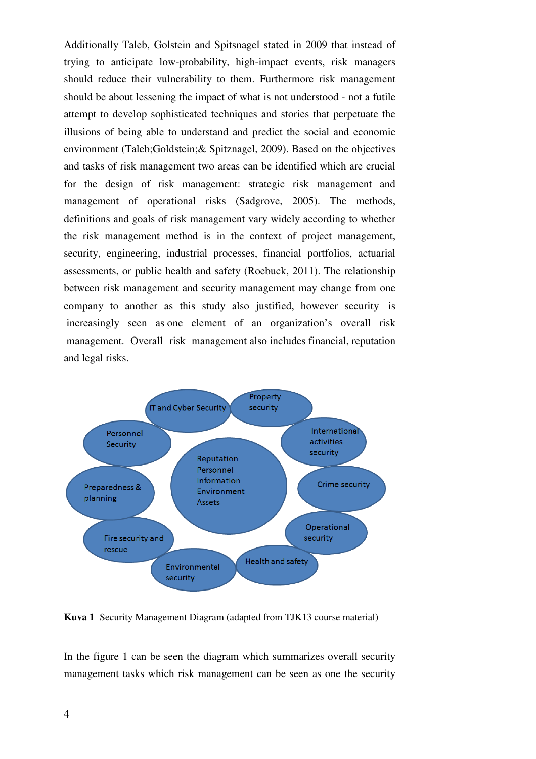Additionally Taleb, Golstein and Spitsnagel stated in 2009 that instead of trying to anticipate low-probability, high-impact events, risk managers should reduce their vulnerability to them. Furthermore risk management should be about lessening the impact of what is not understood - not a futile attempt to develop sophisticated techniques and stories that perpetuate the illusions of being able to understand and predict the social and economic environment (Taleb;Goldstein;& Spitznagel, 2009). Based on the objectives and tasks of risk management two areas can be identified which are crucial for the design of risk management: strategic risk management and management of operational risks (Sadgrove, 2005). The methods, definitions and goals of risk management vary widely according to whether the risk management method is in the context of project management, security, engineering, industrial processes, financial portfolios, actuarial assessments, or public health and safety (Roebuck, 2011). The relationship between risk management and security management may change from one company to another as this study also justified, however security is increasingly seen as one element of an organization's overall risk management. Overall risk management also includes financial, reputation and legal risks.



**Kuva 1** Security Management Diagram (adapted from TJK13 course material)

In the figure 1 can be seen the diagram which summarizes overall security management tasks which risk management can be seen as one the security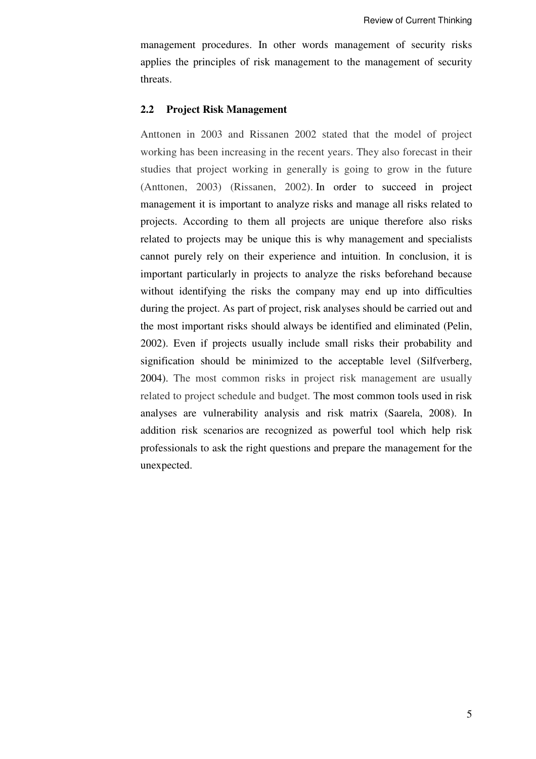management procedures. In other words management of security risks applies the principles of risk management to the management of security threats.

#### **2.2 Project Risk Management**

Anttonen in 2003 and Rissanen 2002 stated that the model of project working has been increasing in the recent years. They also forecast in their studies that project working in generally is going to grow in the future (Anttonen, 2003) (Rissanen, 2002). In order to succeed in project management it is important to analyze risks and manage all risks related to projects. According to them all projects are unique therefore also risks related to projects may be unique this is why management and specialists cannot purely rely on their experience and intuition. In conclusion, it is important particularly in projects to analyze the risks beforehand because without identifying the risks the company may end up into difficulties during the project. As part of project, risk analyses should be carried out and the most important risks should always be identified and eliminated (Pelin, 2002). Even if projects usually include small risks their probability and signification should be minimized to the acceptable level (Silfverberg, 2004). The most common risks in project risk management are usually related to project schedule and budget. The most common tools used in risk analyses are vulnerability analysis and risk matrix (Saarela, 2008). In addition risk scenarios are recognized as powerful tool which help risk professionals to ask the right questions and prepare the management for the unexpected.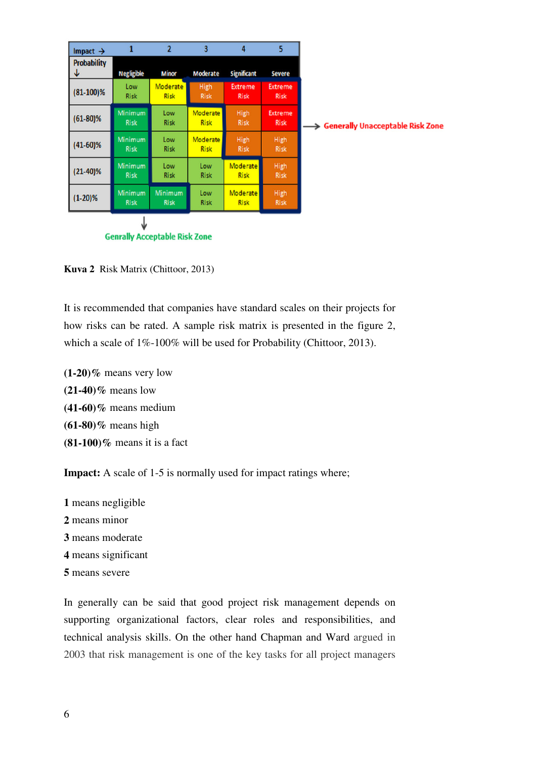| Impact $\rightarrow$                 | 1                             | $\overline{2}$          | 3                       | 4                              | 5                             |                                              |  |  |
|--------------------------------------|-------------------------------|-------------------------|-------------------------|--------------------------------|-------------------------------|----------------------------------------------|--|--|
| <b>Probability</b><br>↓              | <b>Negligible</b>             | <b>Minor</b>            | <b>Moderate</b>         | <b>Significant</b>             | <b>Severe</b>                 |                                              |  |  |
| $(81-100)\%$                         | Low<br><b>Risk</b>            | Moderate<br><b>Risk</b> | High<br><b>Risk</b>     | <b>Extreme</b><br><b>Risk</b>  | <b>Extreme</b><br><b>Risk</b> |                                              |  |  |
| $(61-80)\%$                          | <b>Minimum</b><br><b>Risk</b> | Low<br>Risk             | Moderate<br><b>Risk</b> | High<br><b>Risk</b>            | Extreme<br><b>Risk</b>        | <b>Generally Unacceptable Risk Zone</b><br>→ |  |  |
| $(41-60)\%$                          | <b>Minimum</b><br><b>Risk</b> | Low<br><b>Risk</b>      | Moderate<br><b>Risk</b> | High<br><b>Risk</b>            | High<br><b>Risk</b>           |                                              |  |  |
| $(21-40)\%$                          | <b>Minimum</b><br><b>Risk</b> | Low<br><b>Risk</b>      | Low<br><b>Risk</b>      | <b>Moderate</b><br><b>Risk</b> | High<br><b>Risk</b>           |                                              |  |  |
| $(1-20)%$                            | <b>Minimum</b><br><b>Risk</b> | Minimum<br><b>Risk</b>  | Low<br><b>Risk</b>      | Moderate<br><b>Risk</b>        | High<br>Risk                  |                                              |  |  |
| <b>Genrally Acceptable Risk Zone</b> |                               |                         |                         |                                |                               |                                              |  |  |

**Kuva 2** Risk Matrix (Chittoor, 2013)

It is recommended that companies have standard scales on their projects for how risks can be rated. A sample risk matrix is presented in the figure 2, which a scale of 1%-100% will be used for Probability (Chittoor, 2013).

**(1-20)%** means very low **(21-40)%** means low **(41-60)%** means medium **(61-80)%** means high **(81-100)%** means it is a fact

**Impact:** A scale of 1-5 is normally used for impact ratings where;

 means negligible means minor means moderate means significant means severe

In generally can be said that good project risk management depends on supporting organizational factors, clear roles and responsibilities, and technical analysis skills. On the other hand Chapman and Ward argued in 2003 that risk management is one of the key tasks for all project managers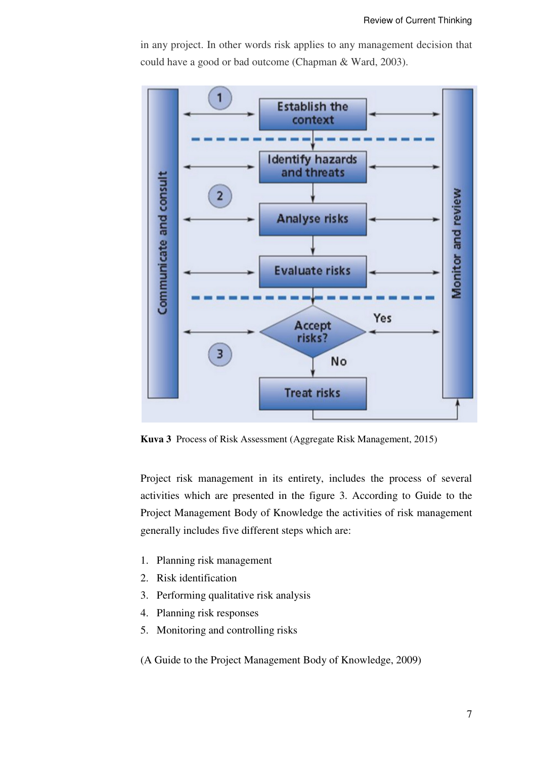in any project. In other words risk applies to any management decision that could have a good or bad outcome (Chapman & Ward, 2003).



**Kuva 3** Process of Risk Assessment (Aggregate Risk Management, 2015)

Project risk management in its entirety, includes the process of several activities which are presented in the figure 3. According to Guide to the Project Management Body of Knowledge the activities of risk management generally includes five different steps which are:

- 1. Planning risk management
- 2. Risk identification
- 3. Performing qualitative risk analysis
- 4. Planning risk responses
- 5. Monitoring and controlling risks

(A Guide to the Project Management Body of Knowledge, 2009)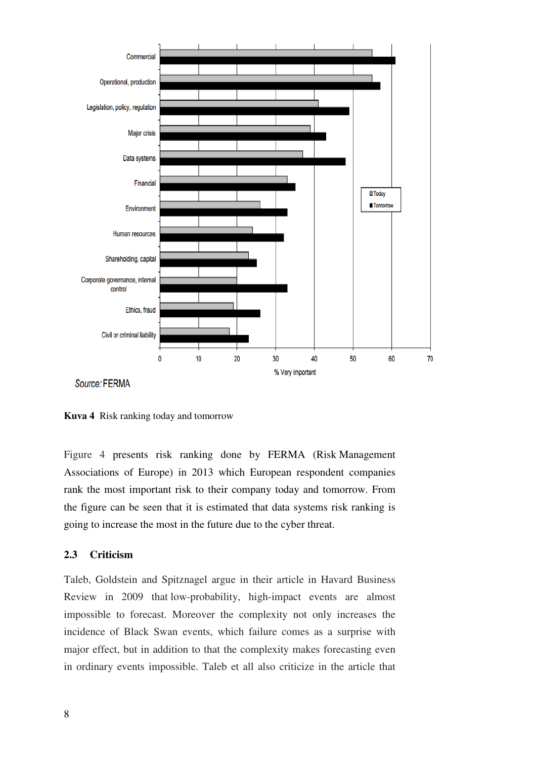

Source: FERMA

**Kuva 4** Risk ranking today and tomorrow

Figure 4 presents risk ranking done by FERMA (Risk Management Associations of Europe) in 2013 which European respondent companies rank the most important risk to their company today and tomorrow. From the figure can be seen that it is estimated that data systems risk ranking is going to increase the most in the future due to the cyber threat.

## **2.3 Criticism**

Taleb, Goldstein and Spitznagel argue in their article in Havard Business Review in 2009 that low-probability, high-impact events are almost impossible to forecast. Moreover the complexity not only increases the incidence of Black Swan events, which failure comes as a surprise with major effect, but in addition to that the complexity makes forecasting even in ordinary events impossible. Taleb et all also criticize in the article that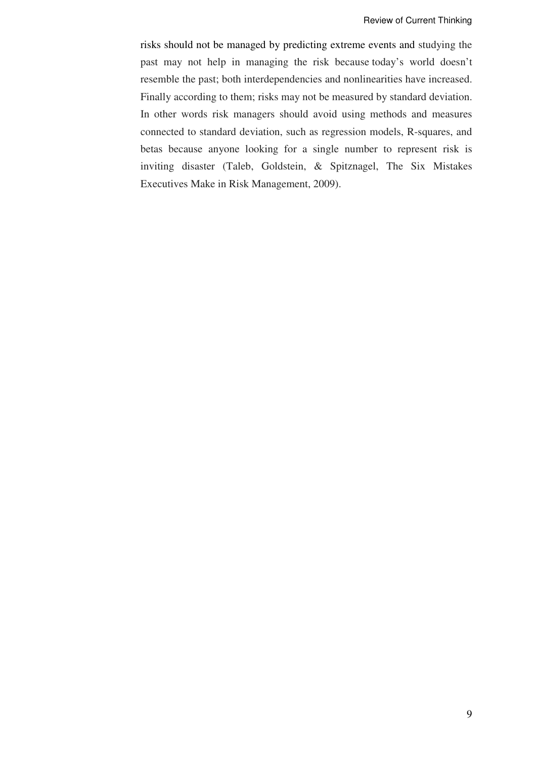risks should not be managed by predicting extreme events and studying the past may not help in managing the risk because today's world doesn't resemble the past; both interdependencies and nonlinearities have increased. Finally according to them; risks may not be measured by standard deviation. In other words risk managers should avoid using methods and measures connected to standard deviation, such as regression models, R-squares, and betas because anyone looking for a single number to represent risk is inviting disaster (Taleb, Goldstein, & Spitznagel, The Six Mistakes Executives Make in Risk Management, 2009).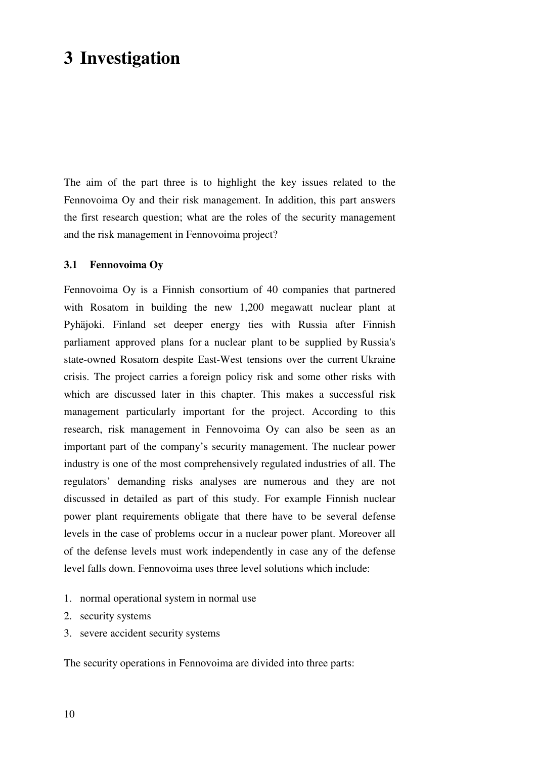# **3 Investigation**

The aim of the part three is to highlight the key issues related to the Fennovoima Oy and their risk management. In addition, this part answers the first research question; what are the roles of the security management and the risk management in Fennovoima project?

#### **3.1 Fennovoima Oy**

Fennovoima Oy is a Finnish consortium of 40 companies that partnered with Rosatom in building the new 1,200 megawatt nuclear plant at Pyhäjoki. Finland set deeper energy ties with Russia after Finnish parliament approved plans for a nuclear plant to be supplied by Russia's state-owned Rosatom despite East-West tensions over the current Ukraine crisis. The project carries a foreign policy risk and some other risks with which are discussed later in this chapter. This makes a successful risk management particularly important for the project. According to this research, risk management in Fennovoima Oy can also be seen as an important part of the company's security management. The nuclear power industry is one of the most comprehensively regulated industries of all. The regulators' demanding risks analyses are numerous and they are not discussed in detailed as part of this study. For example Finnish nuclear power plant requirements obligate that there have to be several defense levels in the case of problems occur in a nuclear power plant. Moreover all of the defense levels must work independently in case any of the defense level falls down. Fennovoima uses three level solutions which include:

- 1. normal operational system in normal use
- 2. security systems
- 3. severe accident security systems

The security operations in Fennovoima are divided into three parts: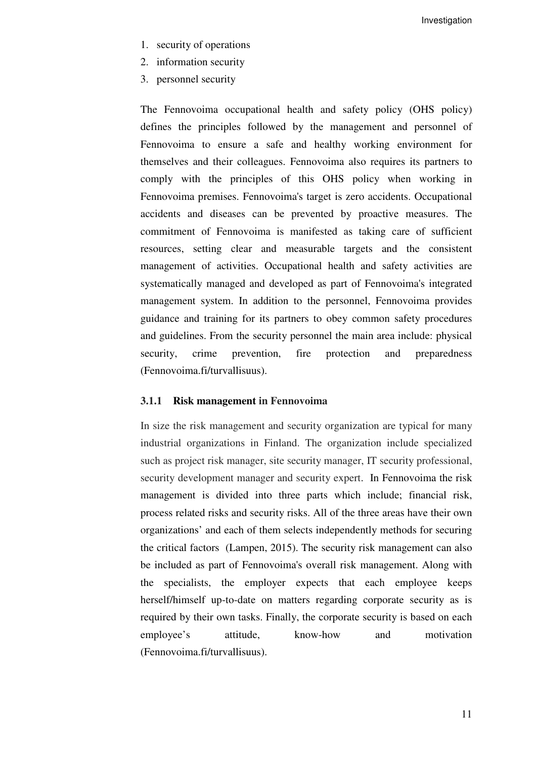Investigation

- 1. security of operations
- 2. information security
- 3. personnel security

The Fennovoima occupational health and safety policy (OHS policy) defines the principles followed by the management and personnel of Fennovoima to ensure a safe and healthy working environment for themselves and their colleagues. Fennovoima also requires its partners to comply with the principles of this OHS policy when working in Fennovoima premises. Fennovoima's target is zero accidents. Occupational accidents and diseases can be prevented by proactive measures. The commitment of Fennovoima is manifested as taking care of sufficient resources, setting clear and measurable targets and the consistent management of activities. Occupational health and safety activities are systematically managed and developed as part of Fennovoima's integrated management system. In addition to the personnel, Fennovoima provides guidance and training for its partners to obey common safety procedures and guidelines. From the security personnel the main area include: physical security, crime prevention, fire protection and preparedness (Fennovoima.fi/turvallisuus).

#### **3.1.1 Risk management in Fennovoima**

In size the risk management and security organization are typical for many industrial organizations in Finland. The organization include specialized such as project risk manager, site security manager, IT security professional, security development manager and security expert. In Fennovoima the risk management is divided into three parts which include; financial risk, process related risks and security risks. All of the three areas have their own organizations' and each of them selects independently methods for securing the critical factors (Lampen, 2015). The security risk management can also be included as part of Fennovoima's overall risk management. Along with the specialists, the employer expects that each employee keeps herself/himself up-to-date on matters regarding corporate security as is required by their own tasks. Finally, the corporate security is based on each employee's attitude, know-how and motivation (Fennovoima.fi/turvallisuus).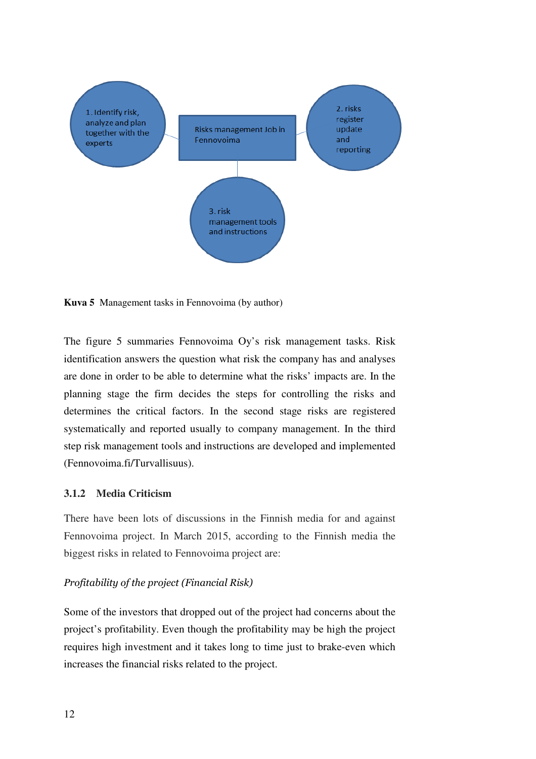

**Kuva 5** Management tasks in Fennovoima (by author)

The figure 5 summaries Fennovoima Oy's risk management tasks. Risk identification answers the question what risk the company has and analyses are done in order to be able to determine what the risks' impacts are. In the planning stage the firm decides the steps for controlling the risks and determines the critical factors. In the second stage risks are registered systematically and reported usually to company management. In the third step risk management tools and instructions are developed and implemented (Fennovoima.fi/Turvallisuus).

## **3.1.2 Media Criticism**

There have been lots of discussions in the Finnish media for and against Fennovoima project. In March 2015, according to the Finnish media the biggest risks in related to Fennovoima project are:

## Profitability of the project (Financial Risk)

Some of the investors that dropped out of the project had concerns about the project's profitability. Even though the profitability may be high the project requires high investment and it takes long to time just to brake-even which increases the financial risks related to the project.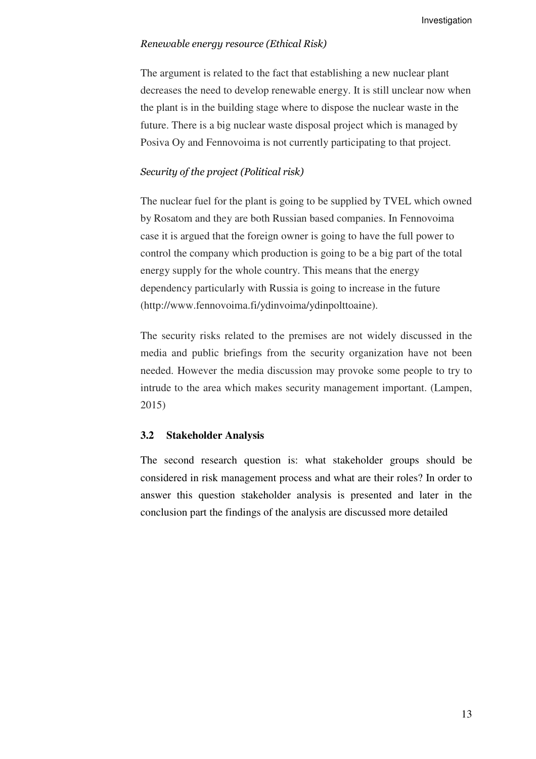#### Renewable energy resource (Ethical Risk)

The argument is related to the fact that establishing a new nuclear plant decreases the need to develop renewable energy. It is still unclear now when the plant is in the building stage where to dispose the nuclear waste in the future. There is a big nuclear waste disposal project which is managed by Posiva Oy and Fennovoima is not currently participating to that project.

#### Security of the project (Political risk)

The nuclear fuel for the plant is going to be supplied by TVEL which owned by Rosatom and they are both Russian based companies. In Fennovoima case it is argued that the foreign owner is going to have the full power to control the company which production is going to be a big part of the total energy supply for the whole country. This means that the energy dependency particularly with Russia is going to increase in the future (http://www.fennovoima.fi/ydinvoima/ydinpolttoaine).

The security risks related to the premises are not widely discussed in the media and public briefings from the security organization have not been needed. However the media discussion may provoke some people to try to intrude to the area which makes security management important. (Lampen, 2015)

#### **3.2 Stakeholder Analysis**

The second research question is: what stakeholder groups should be considered in risk management process and what are their roles? In order to answer this question stakeholder analysis is presented and later in the conclusion part the findings of the analysis are discussed more detailed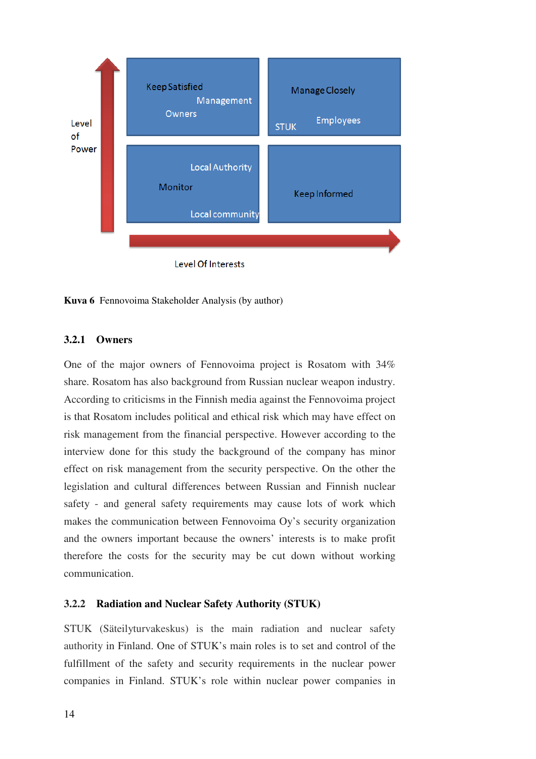



## **3.2.1 Owners**

One of the major owners of Fennovoima project is Rosatom with 34% share. Rosatom has also background from Russian nuclear weapon industry. According to criticisms in the Finnish media against the Fennovoima project is that Rosatom includes political and ethical risk which may have effect on risk management from the financial perspective. However according to the interview done for this study the background of the company has minor effect on risk management from the security perspective. On the other the legislation and cultural differences between Russian and Finnish nuclear safety - and general safety requirements may cause lots of work which makes the communication between Fennovoima Oy's security organization and the owners important because the owners' interests is to make profit therefore the costs for the security may be cut down without working communication.

### **3.2.2 Radiation and Nuclear Safety Authority (STUK)**

STUK (Säteilyturvakeskus) is the main radiation and nuclear safety authority in Finland. One of STUK's main roles is to set and control of the fulfillment of the safety and security requirements in the nuclear power companies in Finland. STUK's role within nuclear power companies in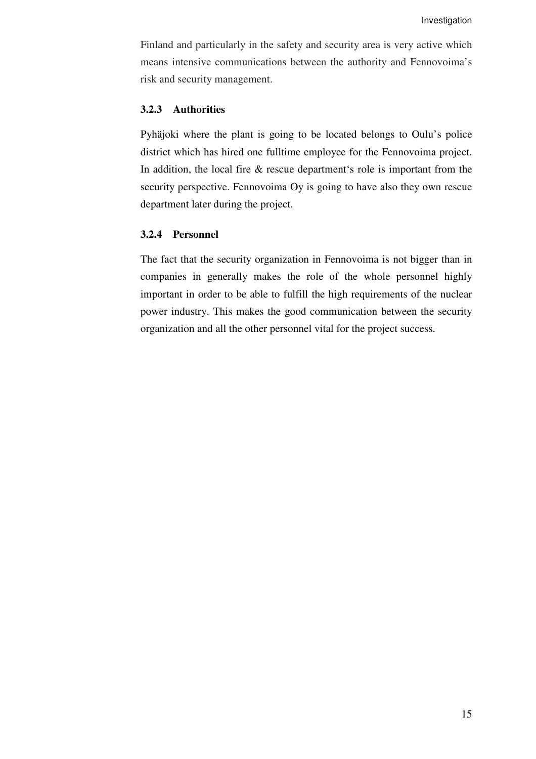Finland and particularly in the safety and security area is very active which means intensive communications between the authority and Fennovoima's risk and security management.

#### **3.2.3 Authorities**

Pyhäjoki where the plant is going to be located belongs to Oulu's police district which has hired one fulltime employee for the Fennovoima project. In addition, the local fire & rescue department's role is important from the security perspective. Fennovoima Oy is going to have also they own rescue department later during the project.

### **3.2.4 Personnel**

The fact that the security organization in Fennovoima is not bigger than in companies in generally makes the role of the whole personnel highly important in order to be able to fulfill the high requirements of the nuclear power industry. This makes the good communication between the security organization and all the other personnel vital for the project success.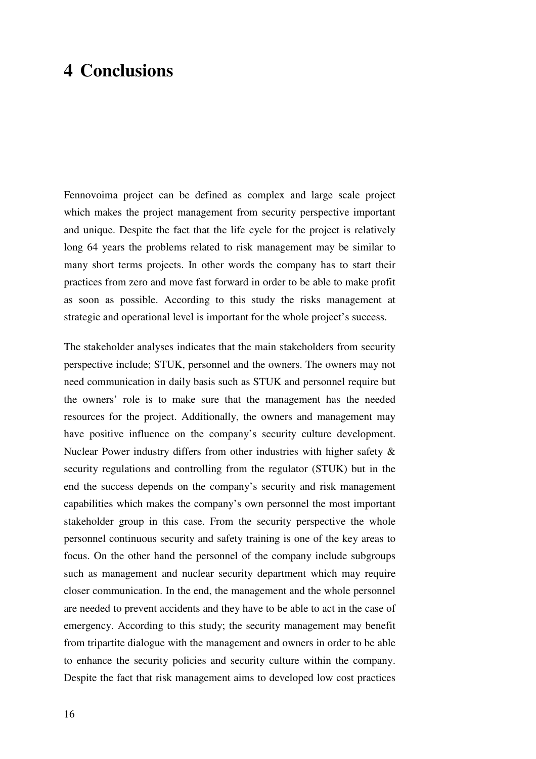## **4 Conclusions**

Fennovoima project can be defined as complex and large scale project which makes the project management from security perspective important and unique. Despite the fact that the life cycle for the project is relatively long 64 years the problems related to risk management may be similar to many short terms projects. In other words the company has to start their practices from zero and move fast forward in order to be able to make profit as soon as possible. According to this study the risks management at strategic and operational level is important for the whole project's success.

The stakeholder analyses indicates that the main stakeholders from security perspective include; STUK, personnel and the owners. The owners may not need communication in daily basis such as STUK and personnel require but the owners' role is to make sure that the management has the needed resources for the project. Additionally, the owners and management may have positive influence on the company's security culture development. Nuclear Power industry differs from other industries with higher safety & security regulations and controlling from the regulator (STUK) but in the end the success depends on the company's security and risk management capabilities which makes the company's own personnel the most important stakeholder group in this case. From the security perspective the whole personnel continuous security and safety training is one of the key areas to focus. On the other hand the personnel of the company include subgroups such as management and nuclear security department which may require closer communication. In the end, the management and the whole personnel are needed to prevent accidents and they have to be able to act in the case of emergency. According to this study; the security management may benefit from tripartite dialogue with the management and owners in order to be able to enhance the security policies and security culture within the company. Despite the fact that risk management aims to developed low cost practices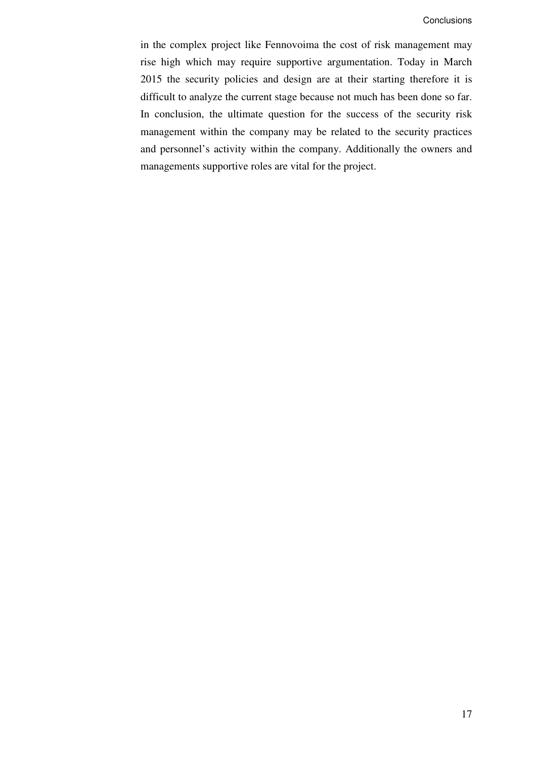in the complex project like Fennovoima the cost of risk management may rise high which may require supportive argumentation. Today in March 2015 the security policies and design are at their starting therefore it is difficult to analyze the current stage because not much has been done so far. In conclusion, the ultimate question for the success of the security risk management within the company may be related to the security practices and personnel's activity within the company. Additionally the owners and managements supportive roles are vital for the project.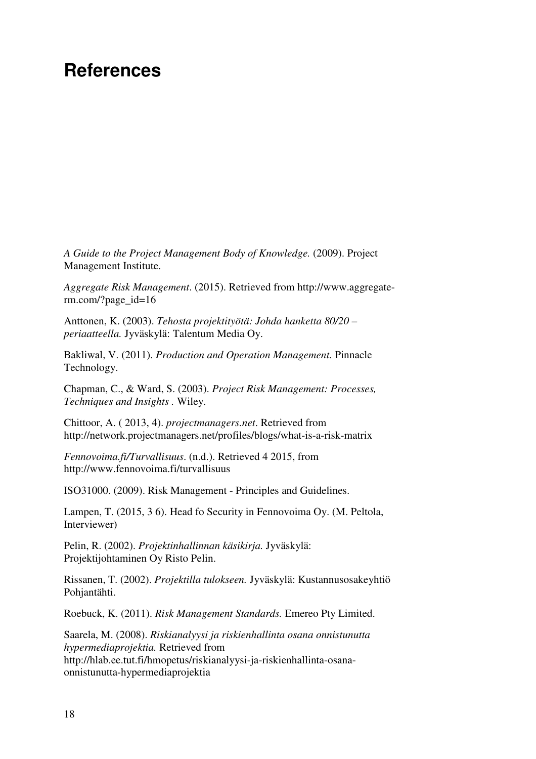## **References**

*A Guide to the Project Management Body of Knowledge.* (2009). Project Management Institute.

*Aggregate Risk Management*. (2015). Retrieved from http://www.aggregaterm.com/?page\_id=16

Anttonen, K. (2003). *Tehosta projektityötä: Johda hanketta 80/20 – periaatteella.* Jyväskylä: Talentum Media Oy.

Bakliwal, V. (2011). *Production and Operation Management.* Pinnacle Technology.

Chapman, C., & Ward, S. (2003). *Project Risk Management: Processes, Techniques and Insights .* Wiley.

Chittoor, A. ( 2013, 4). *projectmanagers.net*. Retrieved from http://network.projectmanagers.net/profiles/blogs/what-is-a-risk-matrix

*Fennovoima.fi/Turvallisuus*. (n.d.). Retrieved 4 2015, from http://www.fennovoima.fi/turvallisuus

ISO31000. (2009). Risk Management - Principles and Guidelines.

Lampen, T. (2015, 3 6). Head fo Security in Fennovoima Oy. (M. Peltola, Interviewer)

Pelin, R. (2002). *Projektinhallinnan käsikirja.* Jyväskylä: Projektijohtaminen Oy Risto Pelin.

Rissanen, T. (2002). *Projektilla tulokseen.* Jyväskylä: Kustannusosakeyhtiö Pohjantähti.

Roebuck, K. (2011). *Risk Management Standards.* Emereo Pty Limited.

Saarela, M. (2008). *Riskianalyysi ja riskienhallinta osana onnistunutta hypermediaprojektia.* Retrieved from http://hlab.ee.tut.fi/hmopetus/riskianalyysi-ja-riskienhallinta-osanaonnistunutta-hypermediaprojektia